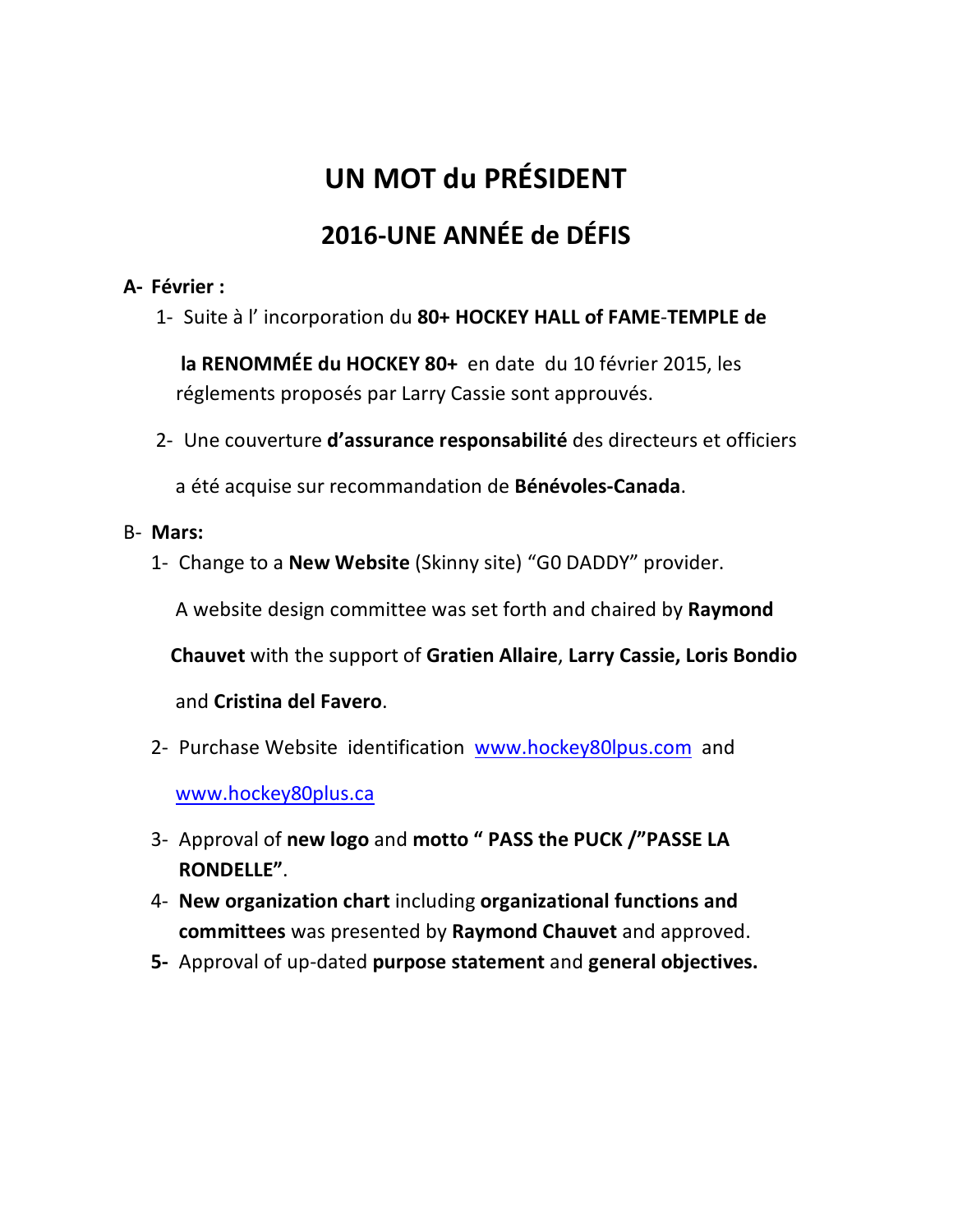# **UN MOT du PRÉSIDENT 2016-UNE ANNÉE de DÉFIS**

#### **A- Février :**

1- Suite à l' incorporation du **80+ HOCKEY HALL of FAME**-**TEMPLE de** 

 **la RENOMMÉE du HOCKEY 80+** en date du 10 février 2015, les réglements proposés par Larry Cassie sont approuvés.

2- Une couverture **d'assurance responsabilité** des directeurs et officiers

a été acquise sur recommandation de **Bénévoles-Canada**.

- B- **Mars:** 
	- 1- Change to a **New Website** (Skinny site) "G0 DADDY" provider.

A website design committee was set forth and chaired by **Raymond**

**Chauvet** with the support of **Gratien Allaire**, **Larry Cassie, Loris Bondio**

and **Cristina del Favero**.

- 2- Purchase Website identification www.hockey80lpus.com and www.hockey80plus.ca
- 3- Approval of **new logo** and **motto " PASS the PUCK /"PASSE LA RONDELLE"**.
- 4- **New organization chart** including **organizational functions and committees** was presented by **Raymond Chauvet** and approved.
- **5-** Approval of up-dated **purpose statement** and **general objectives.**